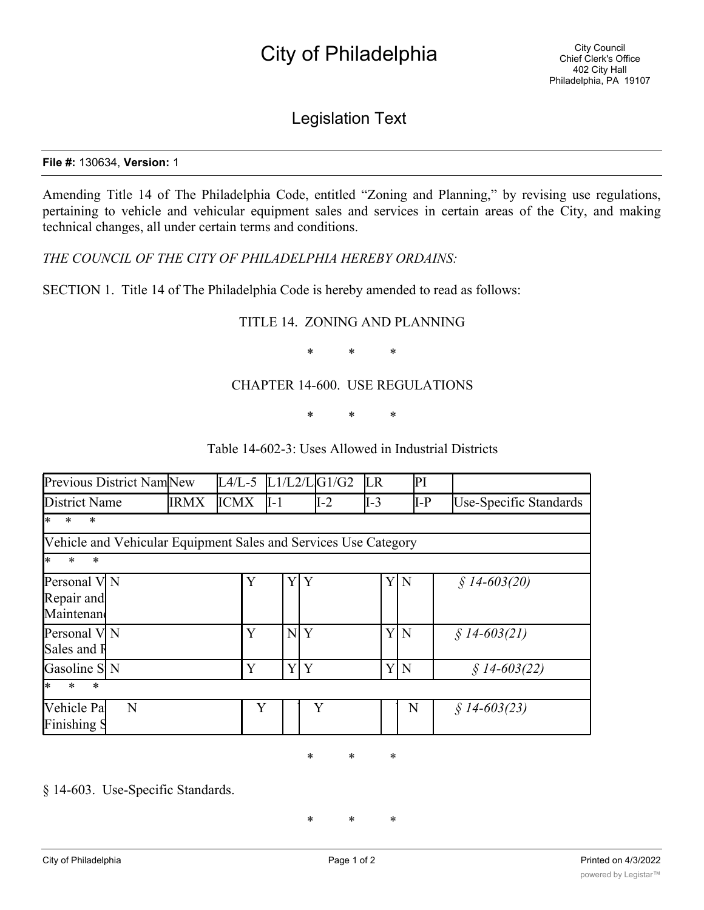# City of Philadelphia

## Legislation Text

#### **File #:** 130634, **Version:** 1

Amending Title 14 of The Philadelphia Code, entitled "Zoning and Planning," by revising use regulations, pertaining to vehicle and vehicular equipment sales and services in certain areas of the City, and making technical changes, all under certain terms and conditions.

*THE COUNCIL OF THE CITY OF PHILADELPHIA HEREBY ORDAINS:*

SECTION 1. Title 14 of The Philadelphia Code is hereby amended to read as follows:

### TITLE 14. ZONING AND PLANNING

\* \* \*

#### CHAPTER 14-600. USE REGULATIONS

\* \* \*

| Previous District NamNew                                        |             |             |        | $L4/L-5$ $L1/L2/L G1/G2$ | LR    | PI    |                        |
|-----------------------------------------------------------------|-------------|-------------|--------|--------------------------|-------|-------|------------------------|
| District Name                                                   | <b>IRMX</b> | <b>ICMX</b> | $II-1$ | $I-2$                    | $I-3$ | $I-P$ | Use-Specific Standards |
| $\ast$<br>$\ast$<br>l*                                          |             |             |        |                          |       |       |                        |
| Vehicle and Vehicular Equipment Sales and Services Use Category |             |             |        |                          |       |       |                        |
| $\ast$<br>$\ast$<br>$*$                                         |             |             |        |                          |       |       |                        |
| Personal V N<br>Repair and<br>Maintenand                        |             | Y           | Y      | Y                        |       | YN    | $$14-603(20)$          |
| Personal V N<br>Sales and F                                     |             | Y           | N      | Y                        |       | YIN   | $$14-603(21)$          |
| Gasoline S N                                                    |             | Y           | Y      | Y                        | YIN   |       | $$14-603(22)$          |
| $\ast$<br>$\ast$<br>$\ast$                                      |             |             |        |                          |       |       |                        |
| Vehicle Pa<br>N<br>Finishing S                                  |             | Y           |        | Y                        |       | N     | $$14-603(23)$          |

§ 14-603. Use-Specific Standards.

\* \* \*

\* \* \*